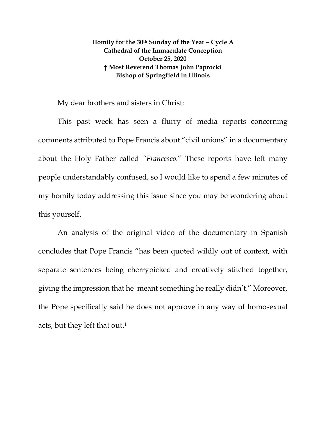## **Homily for the 30th Sunday of the Year – Cycle A Cathedral of the Immaculate Conception October 25, 2020 † Most Reverend Thomas John Paprocki Bishop of Springfield in Illinois**

## My dear brothers and sisters in Christ:

This past week has seen a flurry of media reports concerning comments attributed to Pope Francis about "civil unions" in a documentary about the Holy Father called *"Francesco*." These reports have left many people understandably confused, so I would like to spend a few minutes of my homily today addressing this issue since you may be wondering about this yourself.

An analysis of the original video of the documentary in Spanish concludes that Pope Francis "has been quoted wildly out of context, with separate sentences being cherrypicked and creatively stitched together, giving the impression that he meant something he really didn't." Moreover, the Pope specifically said he does not approve in any way of homosexual acts, but they left that out.[1](#page-6-0)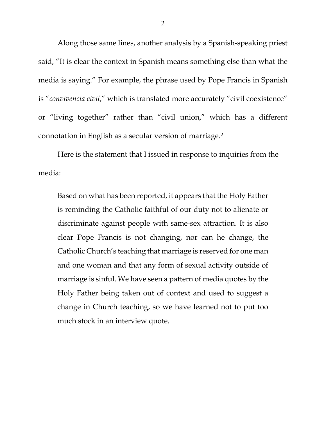Along those same lines, another analysis by a Spanish-speaking priest said, "It is clear the context in Spanish means something else than what the media is saying." For example, the phrase used by Pope Francis in Spanish is "*convivencia civil*," which is translated more accurately "civil coexistence" or "living together" rather than "civil union," which has a different connotation in English as a secular version of marriage.[2](#page-6-1)

Here is the statement that I issued in response to inquiries from the media:

Based on what has been reported, it appears that the Holy Father is reminding the Catholic faithful of our duty not to alienate or discriminate against people with same-sex attraction. It is also clear Pope Francis is not changing, nor can he change, the Catholic Church's teaching that marriage is reserved for one man and one woman and that any form of sexual activity outside of marriage is sinful. We have seen a pattern of media quotes by the Holy Father being taken out of context and used to suggest a change in Church teaching, so we have learned not to put too much stock in an interview quote.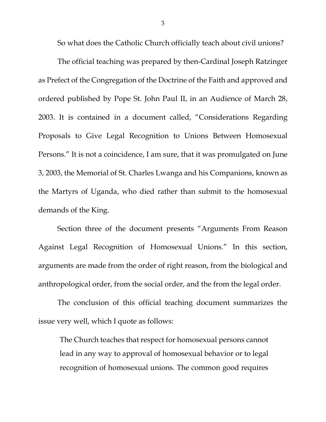So what does the Catholic Church officially teach about civil unions?

The official teaching was prepared by then-Cardinal Joseph Ratzinger as Prefect of the Congregation of the Doctrine of the Faith and approved and ordered published by Pope St. John Paul II, in an Audience of March 28, 2003. It is contained in a document called, "Considerations Regarding Proposals to Give Legal Recognition to Unions Between Homosexual Persons." It is not a coincidence, I am sure, that it was promulgated on June 3, 2003, the Memorial of St. Charles Lwanga and his Companions, known as the Martyrs of Uganda, who died rather than submit to the homosexual demands of the King.

Section three of the document presents "Arguments From Reason Against Legal Recognition of Homosexual Unions." In this section, arguments are made from the order of right reason, from the biological and anthropological order, from the social order, and the from the legal order.

The conclusion of this official teaching document summarizes the issue very well, which I quote as follows:

The Church teaches that respect for homosexual persons cannot lead in any way to approval of homosexual behavior or to legal recognition of homosexual unions. The common good requires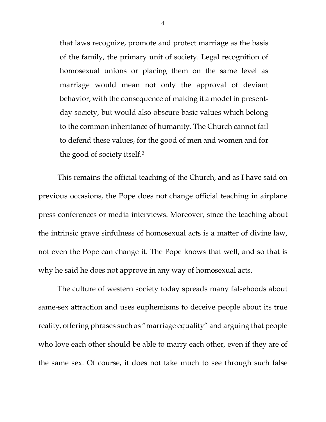that laws recognize, promote and protect marriage as the basis of the family, the primary unit of society. Legal recognition of homosexual unions or placing them on the same level as marriage would mean not only the approval of deviant behavior, with the consequence of making it a model in presentday society, but would also obscure basic values which belong to the common inheritance of humanity. The Church cannot fail to defend these values, for the good of men and women and for the good of society itself.[3](#page-6-2)

This remains the official teaching of the Church, and as I have said on previous occasions, the Pope does not change official teaching in airplane press conferences or media interviews. Moreover, since the teaching about the intrinsic grave sinfulness of homosexual acts is a matter of divine law, not even the Pope can change it. The Pope knows that well, and so that is why he said he does not approve in any way of homosexual acts.

The culture of western society today spreads many falsehoods about same-sex attraction and uses euphemisms to deceive people about its true reality, offering phrases such as "marriage equality" and arguing that people who love each other should be able to marry each other, even if they are of the same sex. Of course, it does not take much to see through such false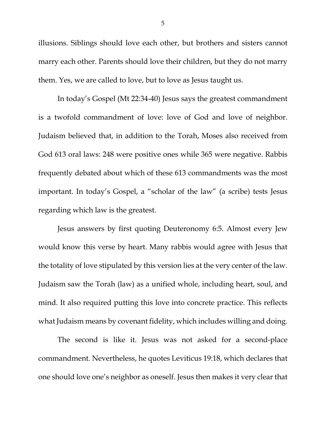illusions. Siblings should love each other, but brothers and sisters cannot marry each other. Parents should love their children, but they do not marry them. Yes, we are called to love, but to love as Jesus taught us.

In today's Gospel (Mt 22:34-40) Jesus says the greatest commandment is a twofold commandment of love: love of God and love of neighbor. Judaism believed that, in addition to the Torah, Moses also received from God 613 oral laws: 248 were positive ones while 365 were negative. Rabbis frequently debated about which of these 613 commandments was the most important. In today's Gospel, a "scholar of the law" (a scribe) tests Jesus regarding which law is the greatest.

Jesus answers by first quoting Deuteronomy 6:5. Almost every Jew would know this verse by heart. Many rabbis would agree with Jesus that the totality of love stipulated by this version lies at the very center of the law. Judaism saw the Torah (law) as a unified whole, including heart, soul, and mind. It also required putting this love into concrete practice. This reflects what Judaism means by covenant fidelity, which includes willing and doing.

The second is like it. Jesus was not asked for a second-place commandment. Nevertheless, he quotes Leviticus 19:18, which declares that one should love one's neighbor as oneself. Jesus then makes it very clear that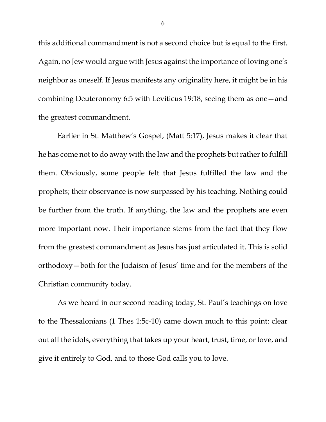this additional commandment is not a second choice but is equal to the first. Again, no Jew would argue with Jesus against the importance of loving one's neighbor as oneself. If Jesus manifests any originality here, it might be in his combining Deuteronomy 6:5 with Leviticus 19:18, seeing them as one—and the greatest commandment.

Earlier in St. Matthew's Gospel, (Matt 5:17), Jesus makes it clear that he has come not to do away with the law and the prophets but rather to fulfill them. Obviously, some people felt that Jesus fulfilled the law and the prophets; their observance is now surpassed by his teaching. Nothing could be further from the truth. If anything, the law and the prophets are even more important now. Their importance stems from the fact that they flow from the greatest commandment as Jesus has just articulated it. This is solid orthodoxy—both for the Judaism of Jesus' time and for the members of the Christian community today.

As we heard in our second reading today, St. Paul's teachings on love to the Thessalonians (1 Thes 1:5c-10) came down much to this point: clear out all the idols, everything that takes up your heart, trust, time, or love, and give it entirely to God, and to those God calls you to love.

6